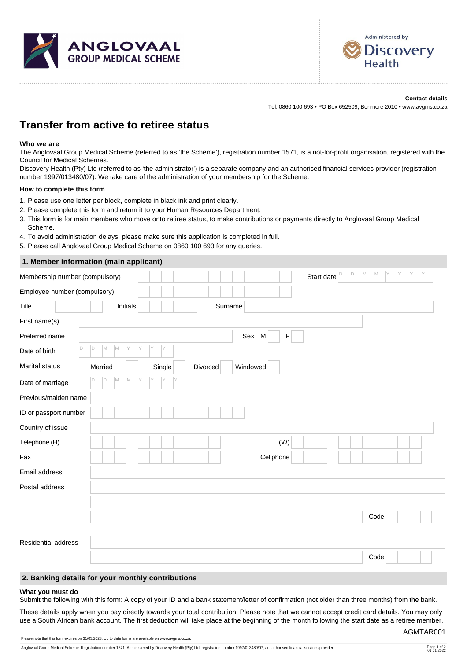



**Contact details** Tel: 0860 100 693 • PO Box 652509, Benmore 2010 • www.avgms.co.za

# **Transfer from active to retiree status**

## **Who we are**

The Anglovaal Group Medical Scheme (referred to as 'the Scheme'), registration number 1571, is a not-for-profit organisation, registered with the Council for Medical Schemes.

Discovery Health (Pty) Ltd (referred to as 'the administrator') is a separate company and an authorised financial services provider (registration number 1997/013480/07). We take care of the administration of your membership for the Scheme.

### **How to complete this form**

- 1. Please use one letter per block, complete in black ink and print clearly.
- 2. Please complete this form and return it to your Human Resources Department.
- 3. This form is for main members who move onto retiree status, to make contributions or payments directly to Anglovaal Group Medical Scheme.
- 4. To avoid administration delays, please make sure this application is completed in full.
- 5. Please call Anglovaal Group Medical Scheme on 0860 100 693 for any queries.

# **1. Member information (main applicant)**

| Membership number (compulsory) |                               | D<br>M<br>Start date $\vert\overline{D}$<br>M |
|--------------------------------|-------------------------------|-----------------------------------------------|
| Employee number (compulsory)   |                               |                                               |
| <b>Title</b>                   | Initials                      | Surname                                       |
| First name(s)                  |                               |                                               |
| Preferred name                 |                               | Sex M<br>$\mathsf F$                          |
| D<br>Date of birth             | D<br>M<br>M<br>Y<br>Iy        |                                               |
| Marital status                 | Single<br>Divorced<br>Married | Windowed                                      |
| Date of marriage               | M<br>M<br>D<br>IY             |                                               |
| Previous/maiden name           |                               |                                               |
| ID or passport number          |                               |                                               |
| Country of issue               |                               |                                               |
| Telephone (H)                  |                               | (W)                                           |
| Fax                            |                               | Cellphone                                     |
| Email address                  |                               |                                               |
| Postal address                 |                               |                                               |
|                                |                               |                                               |
|                                |                               | Code                                          |
|                                |                               |                                               |
| Residential address            |                               |                                               |
|                                |                               | Code                                          |

## **2. Banking details for your monthly contributions**

#### **What you must do**

Submit the following with this form: A copy of your ID and a bank statement/letter of confirmation (not older than three months) from the bank.

These details apply when you pay directly towards your total contribution. Please note that we cannot accept credit card details. You may only use a South African bank account. The first deduction will take place at the beginning of the month following the start date as a retiree member.

Please note that this form expires on 31/03/2023. Up to date forms are available on www.avgms.co.za.

AGMTAR001